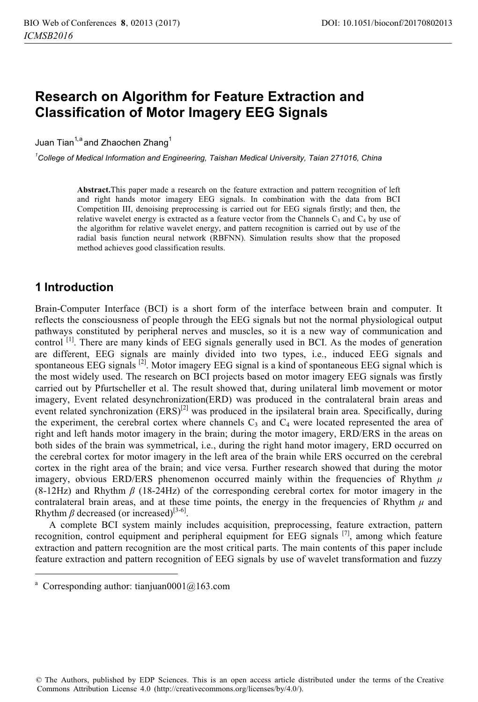# **Research on Algorithm for Feature Extraction and Classification of Motor Imagery EEG Signals**

Juan Tian<sup>1,a</sup> and Zhaochen Zhang<sup>1</sup>

*1 College of Medical Information and Engineering, Taishan Medical University, Taian 271016, China* 

**Abstract.**This paper made a research on the feature extraction and pattern recognition of left and right hands motor imagery EEG signals. In combination with the data from BCI Competition III, denoising preprocessing is carried out for EEG signals firstly; and then, the relative wavelet energy is extracted as a feature vector from the Channels  $C_3$  and  $C_4$  by use of the algorithm for relative wavelet energy, and pattern recognition is carried out by use of the radial basis function neural network (RBFNN). Simulation results show that the proposed method achieves good classification results.

## **1 Introduction**

 $\ddot{ }$ 

Brain-Computer Interface (BCI) is a short form of the interface between brain and computer. It reflects the consciousness of people through the EEG signals but not the normal physiological output pathways constituted by peripheral nerves and muscles, so it is a new way of communication and control<sup>[1]</sup>. There are many kinds of EEG signals generally used in BCI. As the modes of generation are different, EEG signals are mainly divided into two types, i.e., induced EEG signals and spontaneous EEG signals <sup>[2]</sup>. Motor imagery EEG signal is a kind of spontaneous EEG signal which is the most widely used. The research on BCI projects based on motor imagery EEG signals was firstly carried out by Pfurtscheller et al. The result showed that, during unilateral limb movement or motor imagery, Event related desynchronization(ERD) was produced in the contralateral brain areas and event related synchronization  $(ERS)^{[2]}$  was produced in the ipsilateral brain area. Specifically, during the experiment, the cerebral cortex where channels  $C_3$  and  $C_4$  were located represented the area of right and left hands motor imagery in the brain; during the motor imagery, ERD/ERS in the areas on both sides of the brain was symmetrical, i.e., during the right hand motor imagery, ERD occurred on the cerebral cortex for motor imagery in the left area of the brain while ERS occurred on the cerebral cortex in the right area of the brain; and vice versa. Further research showed that during the motor imagery, obvious ERD/ERS phenomenon occurred mainly within the frequencies of Rhythm *μ* (8-12Hz) and Rhythm *β* (18-24Hz) of the corresponding cerebral cortex for motor imagery in the contralateral brain areas, and at these time points, the energy in the frequencies of Rhythm  $\mu$  and Rhythm  $\beta$  decreased (or increased)<sup>[3-6]</sup>.

A complete BCI system mainly includes acquisition, preprocessing, feature extraction, pattern recognition, control equipment and peripheral equipment for EEG signals [7], among which feature extraction and pattern recognition are the most critical parts. The main contents of this paper include feature extraction and pattern recognition of EEG signals by use of wavelet transformation and fuzzy

© The Authors, published by EDP Sciences. This is an open access article distributed under the terms of the Creative Commons Attribution License 4.0 (http://creativecommons.org/licenses/by/4.0/).

<sup>&</sup>lt;sup>a</sup> Corresponding author: tianjuan0001@163.com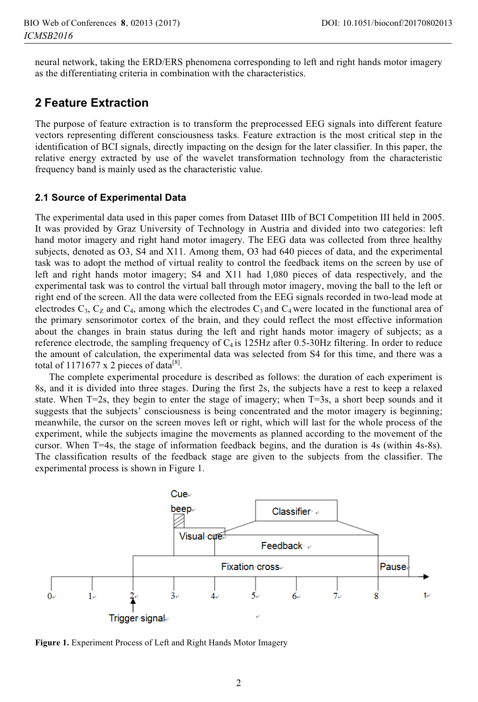neural network, taking the ERD/ERS phenomena corresponding to left and right hands motor imagery as the differentiating criteria in combination with the characteristics.

## **2 Feature Extraction**

The purpose of feature extraction is to transform the preprocessed EEG signals into different feature vectors representing different consciousness tasks. Feature extraction is the most critical step in the identification of BCI signals, directly impacting on the design for the later classifier. In this paper, the relative energy extracted by use of the wavelet transformation technology from the characteristic frequency band is mainly used as the characteristic value.

### **2.1 Source of Experimental Data**

The experimental data used in this paper comes from Dataset IIIb of BCI Competition III held in 2005. It was provided by Graz University of Technology in Austria and divided into two categories: left hand motor imagery and right hand motor imagery. The EEG data was collected from three healthy subjects, denoted as O3, S4 and X11. Among them, O3 had 640 pieces of data, and the experimental task was to adopt the method of virtual reality to control the feedback items on the screen by use of left and right hands motor imagery; S4 and X11 had 1,080 pieces of data respectively, and the experimental task was to control the virtual ball through motor imagery, moving the ball to the left or right end of the screen. All the data were collected from the EEG signals recorded in two-lead mode at electrodes  $C_3$ ,  $C_2$  and  $C_4$ , among which the electrodes  $C_3$  and  $C_4$  were located in the functional area of the primary sensorimotor cortex of the brain, and they could reflect the most effective information about the changes in brain status during the left and right hands motor imagery of subjects; as a reference electrode, the sampling frequency of  $C_4$  is 125Hz after 0.5-30Hz filtering. In order to reduce the amount of calculation, the experimental data was selected from S4 for this time, and there was a total of 1171677 x 2 pieces of data<sup>[8]</sup>.

The complete experimental procedure is described as follows: the duration of each experiment is 8s, and it is divided into three stages. During the first 2s, the subjects have a rest to keep a relaxed state. When T=2s, they begin to enter the stage of imagery; when T=3s, a short beep sounds and it suggests that the subjects' consciousness is being concentrated and the motor imagery is beginning; meanwhile, the cursor on the screen moves left or right, which will last for the whole process of the experiment, while the subjects imagine the movements as planned according to the movement of the cursor. When T=4s, the stage of information feedback begins, and the duration is 4s (within 4s-8s). The classification results of the feedback stage are given to the subjects from the classifier. The experimental process is shown in Figure 1.



Figure 1. Experiment Process of Left and Right Hands Motor Imagery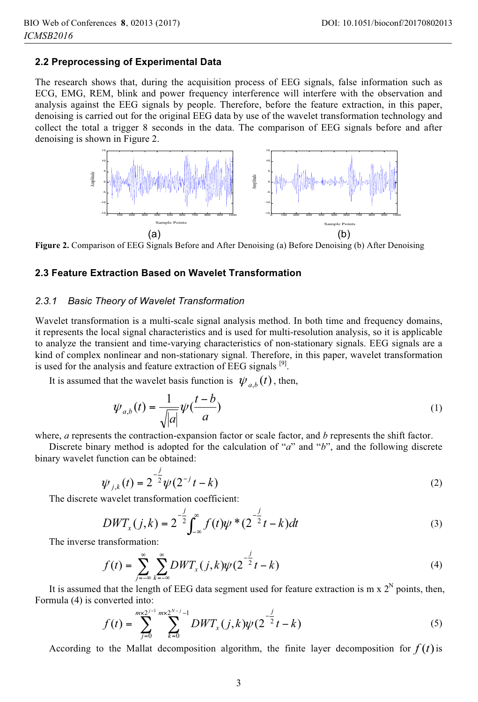### **2.2 Preprocessing of Experimental Data**

The research shows that, during the acquisition process of EEG signals, false information such as ECG, EMG, REM, blink and power frequency interference will interfere with the observation and analysis against the EEG signals by people. Therefore, before the feature extraction, in this paper, denoising is carried out for the original EEG data by use of the wavelet transformation technology and collect the total a trigger 8 seconds in the data. The comparison of EEG signals before and after denoising is shown in Figure 2.



**Figure 2.** Comparison of EEG Signals Before and After Denoising (a) Before Denoising (b) After Denoising

### **2.3 Feature Extraction Based on Wavelet Transformation**

#### *2.3.1**Basic Theory of Wavelet Transformation*

Wavelet transformation is a multi-scale signal analysis method. In both time and frequency domains, it represents the local signal characteristics and is used for multi-resolution analysis, so it is applicable to analyze the transient and time-varying characteristics of non-stationary signals. EEG signals are a kind of complex nonlinear and non-stationary signal. Therefore, in this paper, wavelet transformation is used for the analysis and feature extraction of EEG signals <sup>[9]</sup>.

It is assumed that the wavelet basis function is  $\psi_{a,b}(t)$ , then,

$$
\psi_{a,b}(t) = \frac{1}{\sqrt{|a|}} \psi(\frac{t-b}{a})
$$
\n(1)

where, *a* represents the contraction-expansion factor or scale factor, and *b* represents the shift factor.

Discrete binary method is adopted for the calculation of "*a*" and "*b*", and the following discrete binary wavelet function can be obtained:

$$
\psi_{j,k}(t) = 2^{-\frac{j}{2}} \psi(2^{-j}t - k)
$$
\n(2)

The discrete wavelet transformation coefficient:

$$
DWT_x(j,k) = 2^{-\frac{j}{2}} \int_{-\infty}^{\infty} f(t) \psi^*(2^{-\frac{j}{2}}t - k) dt
$$
 (3)

The inverse transformation:

$$
f(t) = \sum_{j=-\infty}^{\infty} \sum_{k=-\infty}^{\infty} DWT_x(j,k) \psi(2^{-\frac{j}{2}}t - k)
$$
 (4)

It is assumed that the length of EEG data segment used for feature extraction is m  $x 2^N$  points, then, Formula (4) is converted into:

$$
f(t) = \sum_{j=0}^{mx2^{j-1}} \sum_{k=0}^{mx2^{N-j}-1} DWT_x(j,k)\psi(2^{-\frac{j}{2}}t-k)
$$
 (5)

According to the Mallat decomposition algorithm, the finite layer decomposition for  $f(t)$  is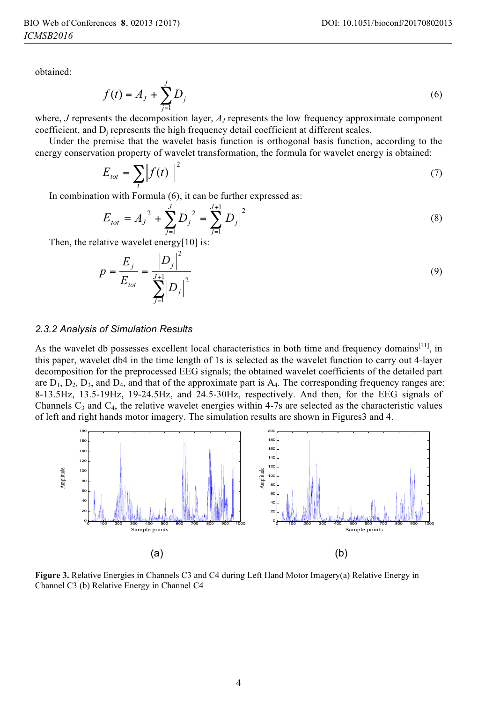obtained:

$$
f(t) = A_j + \sum_{j=1}^{J} D_j
$$
 (6)

where, *J* represents the decomposition layer, *AJ* represents the low frequency approximate component coefficient, and  $D_i$  represents the high frequency detail coefficient at different scales.

Under the premise that the wavelet basis function is orthogonal basis function, according to the energy conservation property of wavelet transformation, the formula for wavelet energy is obtained:

$$
E_{tot} = \sum_{t} \left| f(t) \right|^2 \tag{7}
$$

In combination with Formula (6), it can be further expressed as:

$$
E_{tot} = A_j^2 + \sum_{j=1}^{J} D_j^2 = \sum_{j=1}^{J+1} |D_j|^2
$$
 (8)

Then, the relative wavelet energy[10] is:

$$
p = \frac{E_j}{E_{tot}} = \frac{|D_j|^2}{\sum_{j=1}^{J+1} |D_j|^2}
$$
\n(9)

#### *2.3.2 Analysis of Simulation Results*

As the wavelet db possesses excellent local characteristics in both time and frequency domains $[11]$ , in this paper, wavelet db4 in the time length of 1s is selected as the wavelet function to carry out 4-layer decomposition for the preprocessed EEG signals; the obtained wavelet coefficients of the detailed part are  $D_1$ ,  $D_2$ ,  $D_3$ , and  $D_4$ , and that of the approximate part is  $A_4$ . The corresponding frequency ranges are: 8-13.5Hz, 13.5-19Hz, 19-24.5Hz, and 24.5-30Hz, respectively. And then, for the EEG signals of Channels  $C_3$  and  $C_4$ , the relative wavelet energies within 4-7s are selected as the characteristic values of left and right hands motor imagery. The simulation results are shown in Figures3 and 4.



**Figure 3.** Relative Energies in Channels C3 and C4 during Left Hand Motor Imagery(a) Relative Energy in Channel C3 (b) Relative Energy in Channel C4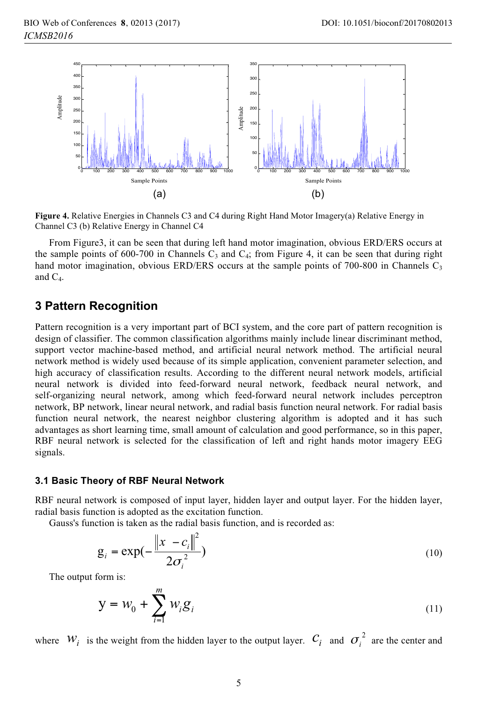

**Figure 4.** Relative Energies in Channels C3 and C4 during Right Hand Motor Imagery(a) Relative Energy in Channel C3 (b) Relative Energy in Channel C4

From Figure3, it can be seen that during left hand motor imagination, obvious ERD/ERS occurs at the sample points of 600-700 in Channels  $C_3$  and  $C_4$ ; from Figure 4, it can be seen that during right hand motor imagination, obvious ERD/ERS occurs at the sample points of 700-800 in Channels  $C_3$ and  $C_4$ .

### **3 Pattern Recognition**

Pattern recognition is a very important part of BCI system, and the core part of pattern recognition is design of classifier. The common classification algorithms mainly include linear discriminant method, support vector machine-based method, and artificial neural network method. The artificial neural network method is widely used because of its simple application, convenient parameter selection, and high accuracy of classification results. According to the different neural network models, artificial neural network is divided into feed-forward neural network, feedback neural network, and self-organizing neural network, among which feed-forward neural network includes perceptron network, BP network, linear neural network, and radial basis function neural network. For radial basis function neural network, the nearest neighbor clustering algorithm is adopted and it has such advantages as short learning time, small amount of calculation and good performance, so in this paper, RBF neural network is selected for the classification of left and right hands motor imagery EEG signals.

### **3.1 Basic Theory of RBF Neural Network**

RBF neural network is composed of input layer, hidden layer and output layer. For the hidden layer, radial basis function is adopted as the excitation function.

Gauss's function is taken as the radial basis function, and is recorded as:

$$
g_{i} = \exp(-\frac{\left\|x - c_{i}\right\|^{2}}{2\sigma_{i}^{2}})
$$
 (10)

The output form is:

$$
y = w_0 + \sum_{i=1}^{m} w_i g_i
$$
 (11)

where  $W_i$  is the weight from the hidden layer to the output layer.  $C_i$  and  $\sigma_i^2$  are the center and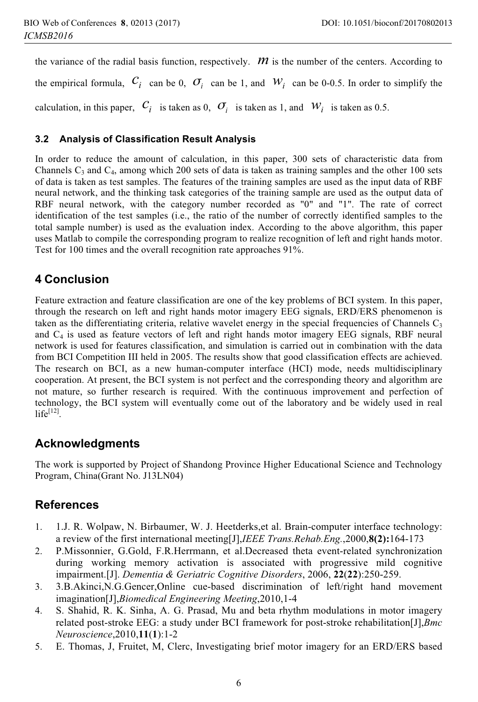the variance of the radial basis function, respectively.  $\bm{m}$  is the number of the centers. According to the empirical formula,  $C_i$  can be 0,  $\sigma_i$  can be 1, and  $W_i$  can be 0-0.5. In order to simplify the calculation, in this paper,  $C_i$  is taken as 0,  $\sigma_i$  is taken as 1, and  $W_i$  is taken as 0.5.

### **3.2 Analysis of Classification Result Analysis**

In order to reduce the amount of calculation, in this paper, 300 sets of characteristic data from Channels  $C_3$  and  $C_4$ , among which 200 sets of data is taken as training samples and the other 100 sets of data is taken as test samples. The features of the training samples are used as the input data of RBF neural network, and the thinking task categories of the training sample are used as the output data of RBF neural network, with the category number recorded as "0" and "1". The rate of correct identification of the test samples (i.e., the ratio of the number of correctly identified samples to the total sample number) is used as the evaluation index. According to the above algorithm, this paper uses Matlab to compile the corresponding program to realize recognition of left and right hands motor. Test for 100 times and the overall recognition rate approaches 91%.

## **4 Conclusion**

Feature extraction and feature classification are one of the key problems of BCI system. In this paper, through the research on left and right hands motor imagery EEG signals, ERD/ERS phenomenon is taken as the differentiating criteria, relative wavelet energy in the special frequencies of Channels  $C_3$ and  $C_4$  is used as feature vectors of left and right hands motor imagery EEG signals, RBF neural network is used for features classification, and simulation is carried out in combination with the data from BCI Competition III held in 2005. The results show that good classification effects are achieved. The research on BCI, as a new human-computer interface (HCI) mode, needs multidisciplinary cooperation. At present, the BCI system is not perfect and the corresponding theory and algorithm are not mature, so further research is required. With the continuous improvement and perfection of technology, the BCI system will eventually come out of the laboratory and be widely used in real  $life^{[12]}$ .

## **Acknowledgments**

The work is supported by Project of Shandong Province Higher Educational Science and Technology Program, China(Grant No. J13LN04)

## **References**

- 1. 1.J. R. Wolpaw, N. Birbaumer, W. J. Heetderks,et al. Brain-computer interface technology: a review of the first international meeting[J],*IEEE Trans.Rehab.Eng.*,2000,**8(2):**164-173
- 2. P.Missonnier, G.Gold, F.R.Herrmann, et al.Decreased theta event-related synchronization during working memory activation is associated with progressive mild cognitive impairment.[J]. *Dementia & Geriatric Cognitive Disorders*, 2006, **22**(**22**):250-259.
- 3. 3.B.Akinci,N.G.Gencer,Online cue-based discrimination of left/right hand movement imagination[J],*Biomedical Engineering Meeting*,2010,1-4
- 4. S. Shahid, R. K. Sinha, A. G. Prasad, Mu and beta rhythm modulations in motor imagery related post-stroke EEG: a study under BCI framework for post-stroke rehabilitation[J],*Bmc Neuroscience*,2010,**11**(**1**):1-2
- 5. E. Thomas, J, Fruitet, M, Clerc, Investigating brief motor imagery for an ERD/ERS based